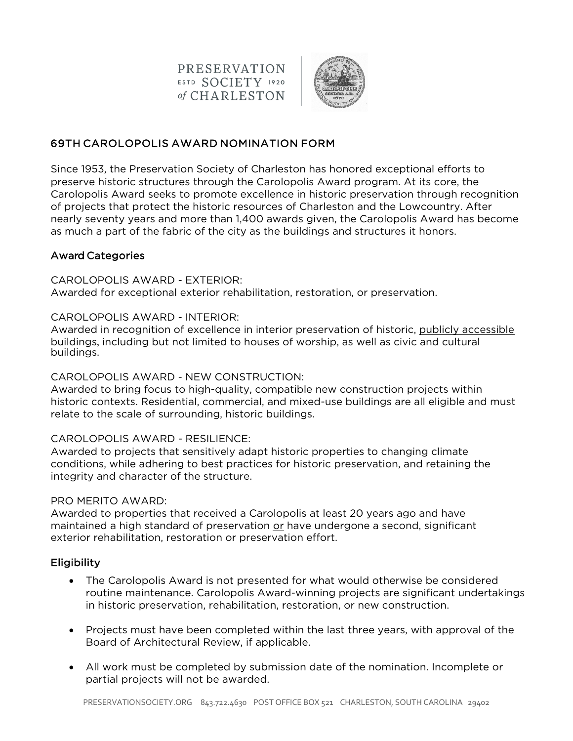**PRESERVATION** ESTD SOCIETY 1920 of CHARLESTON



# 69TH CAROLOPOLIS AWARD NOMINATION FORM

Since 1953, the Preservation Society of Charleston has honored exceptional efforts to preserve historic structures through the Carolopolis Award program. At its core, the Carolopolis Award seeks to promote excellence in historic preservation through recognition of projects that protect the historic resources of Charleston and the Lowcountry. After nearly seventy years and more than 1,400 awards given, the Carolopolis Award has become as much a part of the fabric of the city as the buildings and structures it honors.

## Award Categories

### CAROLOPOLIS AWARD - EXTERIOR:

Awarded for exceptional exterior rehabilitation, restoration, or preservation.

### CAROLOPOLIS AWARD - INTERIOR:

Awarded in recognition of excellence in interior preservation of historic, publicly accessible buildings, including but not limited to houses of worship, as well as civic and cultural buildings.

### CAROLOPOLIS AWARD - NEW CONSTRUCTION:

Awarded to bring focus to high-quality, compatible new construction projects within historic contexts. Residential, commercial, and mixed-use buildings are all eligible and must relate to the scale of surrounding, historic buildings.

### CAROLOPOLIS AWARD - RESILIENCE:

Awarded to projects that sensitively adapt historic properties to changing climate conditions, while adhering to best practices for historic preservation, and retaining the integrity and character of the structure.

#### PRO MERITO AWARD:

Awarded to properties that received a Carolopolis at least 20 years ago and have maintained a high standard of preservation or have undergone a second, significant exterior rehabilitation, restoration or preservation effort.

### **Eligibility**

- The Carolopolis Award is not presented for what would otherwise be considered routine maintenance. Carolopolis Award-winning projects are significant undertakings in historic preservation, rehabilitation, restoration, or new construction.
- Projects must have been completed within the last three years, with approval of the Board of Architectural Review, if applicable.
- All work must be completed by submission date of the nomination. Incomplete or partial projects will not be awarded.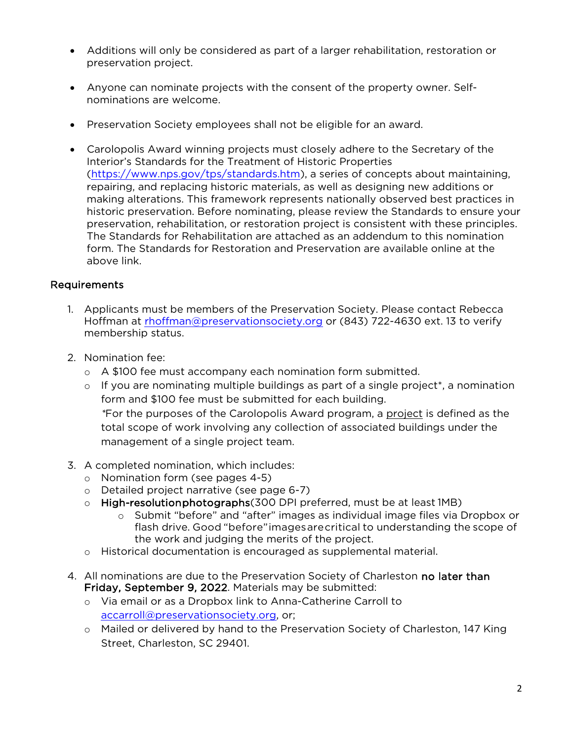- Additions will only be considered as part of a larger rehabilitation, restoration or preservation project.
- Anyone can nominate projects with the consent of the property owner. Selfnominations are welcome.
- Preservation Society employees shall not be eligible for an award.
- Carolopolis Award winning projects must closely adhere to the Secretary of the Interior's Standards for the Treatment of Historic Properties (https://www.nps.gov/tps/standards.htm), a series of concepts about maintaining, repairing, and replacing historic materials, as well as designing new additions or making alterations. This framework represents nationally observed best practices in historic preservation. Before nominating, please review the Standards to ensure your preservation, rehabilitation, or restoration project is consistent with these principles. The Standards for Rehabilitation are attached as an addendum to this nomination form. The Standards for Restoration and Preservation are available online at the above link.

## Requirements

- 1. Applicants must be members of the Preservation Society. Please contact Rebecca Hoffman at rhoffman@preservationsociety.org or (843) 722-4630 ext. 13 to verify membership status.
- 2. Nomination fee:
	- o A \$100 fee must accompany each nomination form submitted.
	- o If you are nominating multiple buildings as part of a single project\*, a nomination form and \$100 fee must be submitted for each building. *\**For the purposes of the Carolopolis Award program, a project is defined as the total scope of work involving any collection of associated buildings under the management of a single project team.
- 3. A completed nomination, which includes:
	- o Nomination form (see pages 4-5)
	- o Detailed project narrative (see page 6-7)
	- $\circ$  High-resolution photographs (300 DPI preferred, must be at least 1MB)
		- o Submit "before" and "after" images as individual image files via Dropbox or flash drive. Good "before"imagesarecritical to understanding the scope of the work and judging the merits of the project.
	- o Historical documentation is encouraged as supplemental material.
- 4. All nominations are due to the Preservation Society of Charleston no later than Friday, September 9, 2022. Materials may be submitted:
	- o Via email or as a Dropbox link to Anna-Catherine Carroll to accarroll@preservationsociety.org, or;
	- o Mailed or delivered by hand to the Preservation Society of Charleston, 147 King Street, Charleston, SC 29401.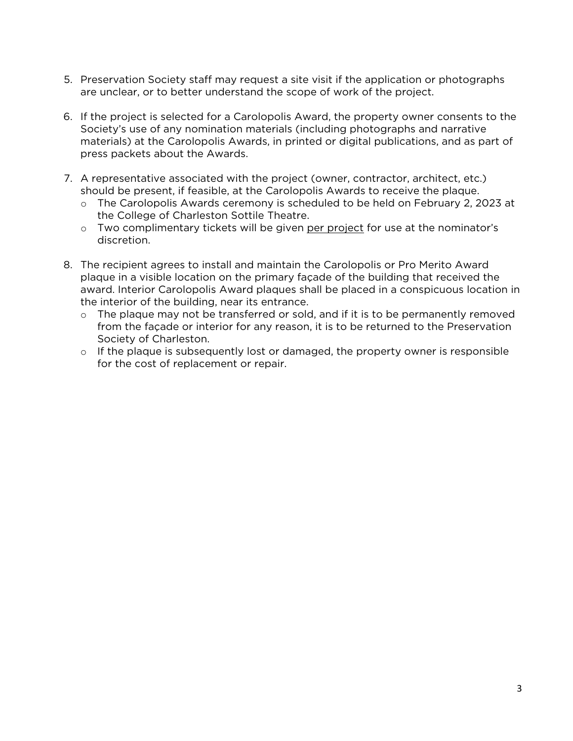- 5. Preservation Society staff may request a site visit if the application or photographs are unclear, or to better understand the scope of work of the project.
- 6. If the project is selected for a Carolopolis Award, the property owner consents to the Society's use of any nomination materials (including photographs and narrative materials) at the Carolopolis Awards, in printed or digital publications, and as part of press packets about the Awards.
- 7. A representative associated with the project (owner, contractor, architect, etc.) should be present, if feasible, at the Carolopolis Awards to receive the plaque.
	- o The Carolopolis Awards ceremony is scheduled to be held on February 2, 2023 at the College of Charleston Sottile Theatre.
	- o Two complimentary tickets will be given per project for use at the nominator's discretion.
- 8. The recipient agrees to install and maintain the Carolopolis or Pro Merito Award plaque in a visible location on the primary façade of the building that received the award. Interior Carolopolis Award plaques shall be placed in a conspicuous location in the interior of the building, near its entrance.
	- o The plaque may not be transferred or sold, and if it is to be permanently removed from the façade or interior for any reason, it is to be returned to the Preservation Society of Charleston.
	- $\circ$  If the plaque is subsequently lost or damaged, the property owner is responsible for the cost of replacement or repair.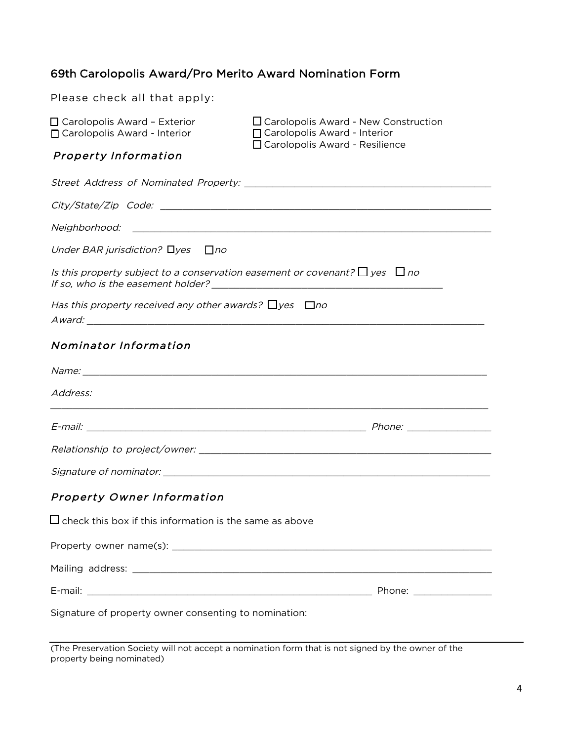# 69th Carolopolis Award/Pro Merito Award Nomination Form

| Please check all that apply:                                                                                                                                                                                                                                                                                            |                                                                                                                       |  |  |  |  |  |
|-------------------------------------------------------------------------------------------------------------------------------------------------------------------------------------------------------------------------------------------------------------------------------------------------------------------------|-----------------------------------------------------------------------------------------------------------------------|--|--|--|--|--|
| □ Carolopolis Award - Exterior<br>□ Carolopolis Award - Interior                                                                                                                                                                                                                                                        | $\Box$ Carolopolis Award - New Construction<br>□ Carolopolis Award - Interior<br>□ Carolopolis Award - Resilience     |  |  |  |  |  |
| <b>Property Information</b>                                                                                                                                                                                                                                                                                             |                                                                                                                       |  |  |  |  |  |
|                                                                                                                                                                                                                                                                                                                         |                                                                                                                       |  |  |  |  |  |
|                                                                                                                                                                                                                                                                                                                         |                                                                                                                       |  |  |  |  |  |
| Neighborhood:                                                                                                                                                                                                                                                                                                           | <u> 1989 - Johann Harry Harry Harry Harry Harry Harry Harry Harry Harry Harry Harry Harry Harry Harry Harry Harry</u> |  |  |  |  |  |
| Under BAR jurisdiction? $\Box$ yes<br>$\Box$ no                                                                                                                                                                                                                                                                         |                                                                                                                       |  |  |  |  |  |
| Is this property subject to a conservation easement or covenant? $\Box$ yes $\Box$ no<br>If so, who is the easement holder? Note that the set of the set of the set of the set of the set of the set of the set of the set of the set of the set of the set of the set of the set of the set of the set of the set of t |                                                                                                                       |  |  |  |  |  |
| Has this property received any other awards? $\Box$ yes $\Box$ no                                                                                                                                                                                                                                                       |                                                                                                                       |  |  |  |  |  |
| Nominator Information                                                                                                                                                                                                                                                                                                   |                                                                                                                       |  |  |  |  |  |
|                                                                                                                                                                                                                                                                                                                         |                                                                                                                       |  |  |  |  |  |
| Address:                                                                                                                                                                                                                                                                                                                |                                                                                                                       |  |  |  |  |  |
|                                                                                                                                                                                                                                                                                                                         |                                                                                                                       |  |  |  |  |  |
|                                                                                                                                                                                                                                                                                                                         |                                                                                                                       |  |  |  |  |  |
|                                                                                                                                                                                                                                                                                                                         |                                                                                                                       |  |  |  |  |  |
| <b>Property Owner Information</b>                                                                                                                                                                                                                                                                                       |                                                                                                                       |  |  |  |  |  |
| $\square$ check this box if this information is the same as above                                                                                                                                                                                                                                                       |                                                                                                                       |  |  |  |  |  |
|                                                                                                                                                                                                                                                                                                                         |                                                                                                                       |  |  |  |  |  |
|                                                                                                                                                                                                                                                                                                                         |                                                                                                                       |  |  |  |  |  |
|                                                                                                                                                                                                                                                                                                                         |                                                                                                                       |  |  |  |  |  |
| Signature of property owner consenting to nomination:                                                                                                                                                                                                                                                                   |                                                                                                                       |  |  |  |  |  |

(The Preservation Society will not accept a nomination form that is not signed by the owner of the property being nominated)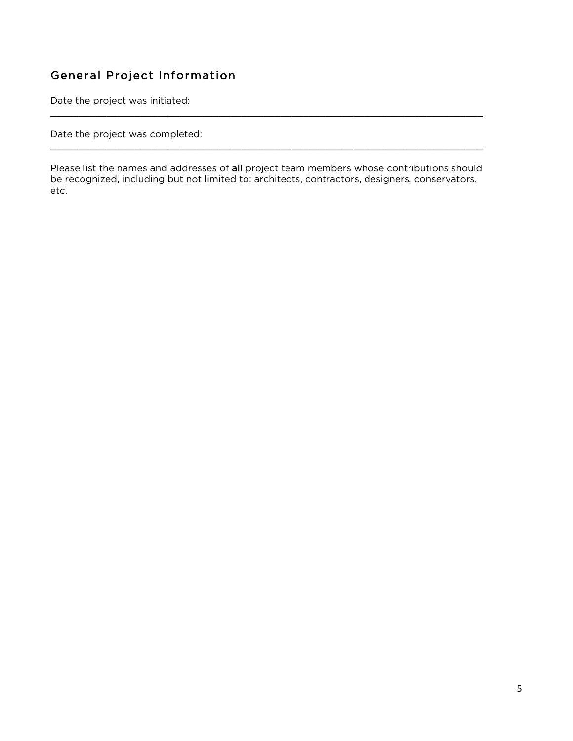# General Project Information

Date the project was initiated:

Date the project was completed:

Please list the names and addresses of all project team members whose contributions should be recognized, including but not limited to: architects, contractors, designers, conservators, etc.

 $\_$  , and the set of the set of the set of the set of the set of the set of the set of the set of the set of the set of the set of the set of the set of the set of the set of the set of the set of the set of the set of th

 $\_$  , and the set of the set of the set of the set of the set of the set of the set of the set of the set of the set of the set of the set of the set of the set of the set of the set of the set of the set of the set of th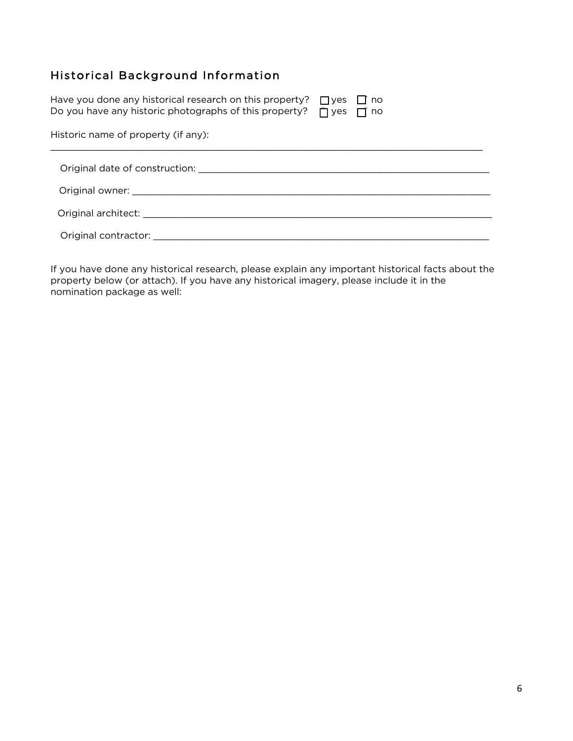# Historical Background Information

| Have you done any historical research on this property? $\Box$ yes $\Box$ no<br>Do you have any historic photographs of this property? $\Box$ yes $\Box$ no                                                                    |  |  |  |  |
|--------------------------------------------------------------------------------------------------------------------------------------------------------------------------------------------------------------------------------|--|--|--|--|
| Historic name of property (if any):                                                                                                                                                                                            |  |  |  |  |
| Original date of construction: which is a set of the construction of the construction of the construction of the construction of $\sim$                                                                                        |  |  |  |  |
|                                                                                                                                                                                                                                |  |  |  |  |
| Original architect: and the contract of the contract of the contract of the contract of the contract of the contract of the contract of the contract of the contract of the contract of the contract of the contract of the co |  |  |  |  |
| Original contractor: and the contractor of the contractor of the contractor of the contractor of the contractor                                                                                                                |  |  |  |  |

If you have done any historical research, please explain any important historical facts about the property below (or attach). If you have any historical imagery, please include it in the nomination package as well: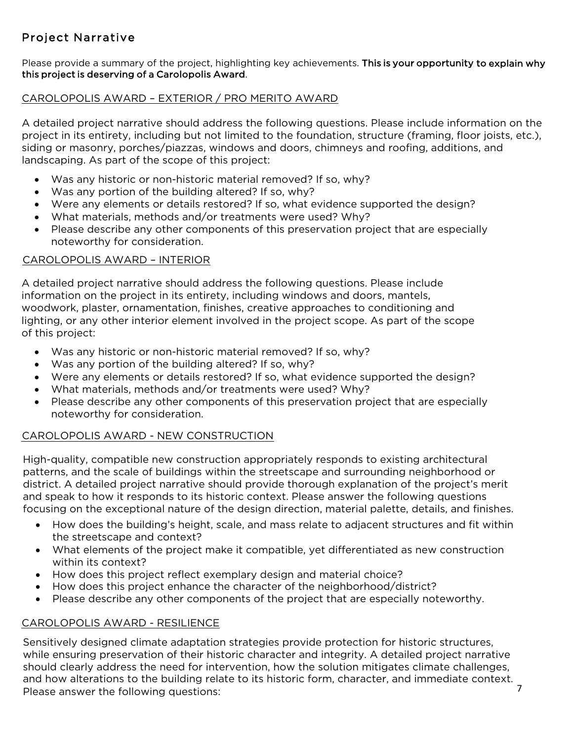# Project Narrative

Please provide a summary of the project, highlighting key achievements. This is your opportunity to explain why this project is deserving of a Carolopolis Award.

## CAROLOPOLIS AWARD – EXTERIOR / PRO MERITO AWARD

A detailed project narrative should address the following questions. Please include information on the project in its entirety, including but not limited to the foundation, structure (framing, floor joists, etc.), siding or masonry, porches/piazzas, windows and doors, chimneys and roofing, additions, and landscaping. As part of the scope of this project:

- Was any historic or non-historic material removed? If so, why?
- Was any portion of the building altered? If so, why?
- Were any elements or details restored? If so, what evidence supported the design?
- What materials, methods and/or treatments were used? Why?
- Please describe any other components of this preservation project that are especially noteworthy for consideration.

### CAROLOPOLIS AWARD – INTERIOR

A detailed project narrative should address the following questions. Please include information on the project in its entirety, including windows and doors, mantels, woodwork, plaster, ornamentation, finishes, creative approaches to conditioning and lighting, or any other interior element involved in the project scope. As part of the scope of this project:

- Was any historic or non-historic material removed? If so, why?
- Was any portion of the building altered? If so, why?
- Were any elements or details restored? If so, what evidence supported the design?
- What materials, methods and/or treatments were used? Why?
- Please describe any other components of this preservation project that are especially noteworthy for consideration.

# CAROLOPOLIS AWARD - NEW CONSTRUCTION

High-quality, compatible new construction appropriately responds to existing architectural patterns, and the scale of buildings within the streetscape and surrounding neighborhood or district. A detailed project narrative should provide thorough explanation of the project's merit and speak to how it responds to its historic context. Please answer the following questions focusing on the exceptional nature of the design direction, material palette, details, and finishes.

- How does the building's height, scale, and mass relate to adjacent structures and fit within the streetscape and context?
- What elements of the project make it compatible, yet differentiated as new construction within its context?
- How does this project reflect exemplary design and material choice?
- How does this project enhance the character of the neighborhood/district?
- Please describe any other components of the project that are especially noteworthy.

# CAROLOPOLIS AWARD - RESILIENCE

Sensitively designed climate adaptation strategies provide protection for historic structures, while ensuring preservation of their historic character and integrity. A detailed project narrative should clearly address the need for intervention, how the solution mitigates climate challenges, and how alterations to the building relate to its historic form, character, and immediate context. Please answer the following questions: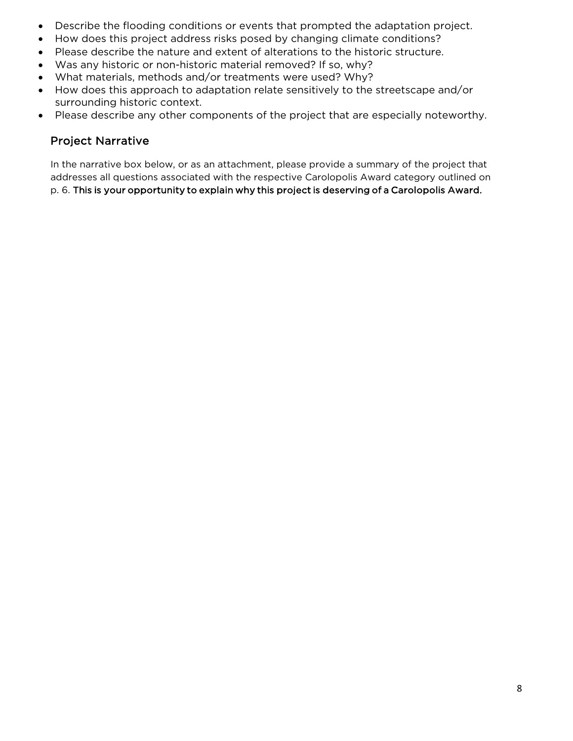- Describe the flooding conditions or events that prompted the adaptation project.
- How does this project address risks posed by changing climate conditions?
- Please describe the nature and extent of alterations to the historic structure.
- Was any historic or non-historic material removed? If so, why?
- What materials, methods and/or treatments were used? Why?
- How does this approach to adaptation relate sensitively to the streetscape and/or surrounding historic context.
- Please describe any other components of the project that are especially noteworthy.

# Project Narrative

In the narrative box below, or as an attachment, please provide a summary of the project that addresses all questions associated with the respective Carolopolis Award category outlined on p. 6. This is your opportunity to explain why this project is deserving of a Carolopolis Award.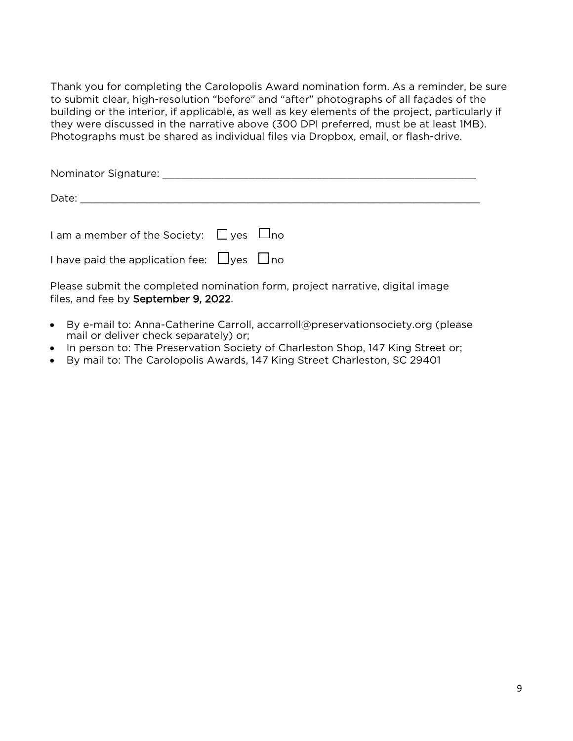Thank you for completing the Carolopolis Award nomination form. As a reminder, be sure to submit clear, high-resolution "before" and "after" photographs of all façades of the building or the interior, if applicable, as well as key elements of the project, particularly if they were discussed in the narrative above (300 DPI preferred, must be at least 1MB). Photographs must be shared as individual files via Dropbox, email, or flash-drive.

Nominator Signature: \_\_\_\_\_\_\_\_\_\_\_\_\_\_\_\_\_\_\_\_\_\_\_\_\_\_\_\_\_\_\_\_\_\_\_\_\_\_\_\_\_\_\_\_\_\_\_\_\_\_\_

| Date:                                              |  |
|----------------------------------------------------|--|
|                                                    |  |
|                                                    |  |
| I am a member of the Society: $\Box$ yes $\Box$ no |  |
|                                                    |  |

Please submit the completed nomination form, project narrative, digital image files, and fee by September 9, 2022.

I have paid the application fee:  $\Box$ yes  $\Box$ no

- By e-mail to: Anna-Catherine Carroll, accarroll@preservationsociety.org (please mail or deliver check separately) or;
- In person to: The Preservation Society of Charleston Shop, 147 King Street or;
- By mail to: The Carolopolis Awards, 147 King Street Charleston, SC 29401